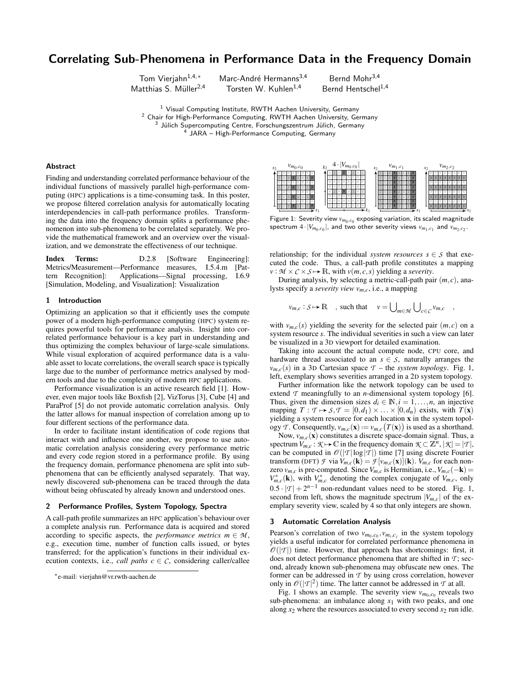# Correlating Sub-Phenomena in Performance Data in the Frequency Domain

Tom Vierjahn<sup>1,4,∗</sup> Marc-André Hermanns<sup>3,4</sup> Bernd Mohr<sup>3,4</sup> Matthias S. Müller<sup>2,4</sup> Torsten W. Kuhlen<sup>1,4</sup> Bernd Hentschel<sup>1,4</sup>

<sup>1</sup> Visual Computing Institute, RWTH Aachen University, Germany Chair for High-Performance Computing, RWTH Aachen University, Germany Jülich Supercomputing Centre, Forschungszentrum Jülich, Germany JARA – High-Performance Computing, Germany

## Abstract

Finding and understanding correlated performance behaviour of the individual functions of massively parallel high-performance computing (HPC) applications is a time-consuming task. In this poster, we propose filtered correlation analysis for automatically locating interdependencies in call-path performance profiles. Transforming the data into the frequency domain splits a performance phenomenon into sub-phenomena to be correlated separately. We provide the mathematical framework and an overview over the visualization, and we demonstrate the effectiveness of our technique.

Index Terms: D.2.8 [Software Engineering]: Metrics/Measurement—Performance measures, I.5.4.m [Pattern Recognition]: Applications—Signal processing, I.6.9 [Simulation, Modeling, and Visualization]: Visualization

## 1 Introduction

Optimizing an application so that it efficiently uses the compute power of a modern high-performance computing (HPC) system requires powerful tools for performance analysis. Insight into correlated performance behaviour is a key part in understanding and thus optimizing the complex behaviour of large-scale simulations. While visual exploration of acquired performance data is a valuable asset to locate correlations, the overall search space is typically large due to the number of performance metrics analysed by modern tools and due to the complexity of modern HPC applications.

Performance visualization is an active research field [1]. However, even major tools like Boxfish [2], VizTorus [3], Cube [4] and ParaProf [5] do not provide automatic correlation analysis. Only the latter allows for manual inspection of correlation among up to four different sections of the performance data.

In order to facilitate instant identification of code regions that interact with and influence one another, we propose to use automatic correlation analysis considering every performance metric and every code region stored in a performance profile. By using the frequency domain, performance phenomena are split into subphenomena that can be efficiently analysed separately. That way, newly discovered sub-phenomena can be traced through the data without being obfuscated by already known and understood ones.

## 2 Performance Profiles, System Topology, Spectra

A call-path profile summarizes an HPC application's behaviour over a complete analysis run. Performance data is acquired and stored according to specific aspects, the *performance metrics*  $m \in M$ , e.g., execution time, number of function calls issued, or bytes transferred; for the application's functions in their individual execution contexts, i.e., *call paths*  $c \in \mathcal{C}$ , considering caller/callee



Figure 1: Severity view  $v_{m_0,c_0}$  exposing variation, its scaled magnitude spectrum  $4 \cdot |V_{m_0, c_0}|$ , and two other severity views  $v_{m_1, c_1}$  and  $v_{m_2, c_2}$ .

relationship; for the individual *system resources*  $s \in S$  that executed the code. Thus, a call-path profile constitutes a mapping  $v : \mathcal{M} \times \mathcal{C} \times \mathcal{S} \mapsto \mathbb{R}$ , with  $v(m, c, s)$  yielding a *severity*.

During analysis, by selecting a metric-call-path pair (*m*, *c*), analysts specify a *severity view vm*,*c*, i.e., a mapping

$$
v_{m,c}: S \mapsto \mathbb{R}
$$
, such that  $v = \bigcup_{m \in \mathcal{M}} \bigcup_{c \in C} v_{m,c}$ ,

with  $v_{m,c}(s)$  yielding the severity for the selected pair  $(m, c)$  on a system resource *s*. The individual severities in such a view can later be visualized in a 3D viewport for detailed examination.

Taking into account the actual compute node, CPU core, and hardware thread associated to an  $s \in S$ , naturally arranges the  $v_{m,c}(s)$  in a 3D Cartesian space  $\mathcal{T}$  – the *system topology*. Fig. 1, left, exemplary shows severities arranged in a 2D system topology.

Further information like the network topology can be used to extend  $\tau$  meaningfully to an *n*-dimensional system topology [6]. Thus, given the dimension sizes  $d_i \in \mathbb{N}, i = 1, \ldots, n$ , an injective mapping  $T : T \mapsto S, T = [0, d_1) \times ... \times [0, d_n)$  exists, with  $T(\mathbf{x})$ yielding a system resource for each location x in the system topol- $\log y$  *T*. Consequently,  $v_{m,c}(\mathbf{x}) := v_{m,c}(T(\mathbf{x}))$  is used as a shorthand.

Now,  $v_{m,c}(\mathbf{x})$  constitutes a discrete space-domain signal. Thus, a spectrum  $V_{m,c}: \mathcal{K} \mapsto \mathbb{C}$  in the frequency domain  $\mathcal{K} \subset \mathbb{Z}^n$ ,  $|\mathcal{K}| = |\mathcal{T}|$ , can be computed in  $\mathcal{O}(|T|\log|T|)$  time [7] using discrete Fourier transform (DFT) *F* via  $V_{m,c}(\mathbf{k}) = \mathcal{F}[v_{m,c}(\mathbf{x})](\mathbf{k})$ .  $V_{m,c}$  for each nonzero  $v_{m,c}$  is pre-computed. Since  $V_{m,c}$  is Hermitian, i.e.,  $V_{m,c}(-\mathbf{k}) =$  $V_{m,c}^*$  (k), with  $V_{m,c}^*$  denoting the complex conjugate of  $V_{m,c}$ , only  $0.5 \cdot |T| + 2^{n-1}$  non-redundant values need to be stored. Fig. 1, second from left, shows the magnitude spectrum  $|V_{m,c}|$  of the exemplary severity view, scaled by 4 so that only integers are shown.

#### 3 Automatic Correlation Analysis

Pearson's correlation of two  $v_{m_0,c_0}, v_{m_i,c_j}$  in the system topology yields a useful indicator for correlated performance phenomena in  $\mathcal{O}(|\mathcal{T}|)$  time. However, that approach has shortcomings: first, it does not detect performance phenomena that are shifted in *T* ; second, already known sub-phenomena may obfuscate new ones. The former can be addressed in *T* by using cross correlation, however only in  $\mathcal{O}(|\mathcal{T}|^2)$  time. The latter cannot be addressed in  $\mathcal T$  at all.

Fig. 1 shows an example. The severity view  $v_{m_0,c_0}$  reveals two sub-phenomena: an imbalance along  $x_1$  with two peaks, and one along  $x_2$  where the resources associated to every second  $x_2$  run idle.

<sup>∗</sup> e-mail: vierjahn@vr.rwth-aachen.de